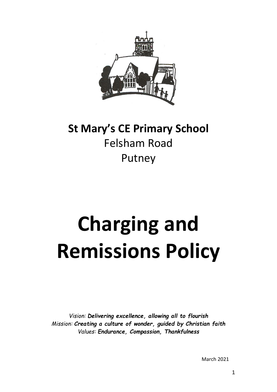

# **St Mary's CE Primary School** Felsham Road Putney

# **Charging and Remissions Policy**

*Vision: Delivering excellence, allowing all to flourish Mission: Creating a culture of wonder, guided by Christian faith Values: Endurance, Compassion, Thankfulness*

March 2021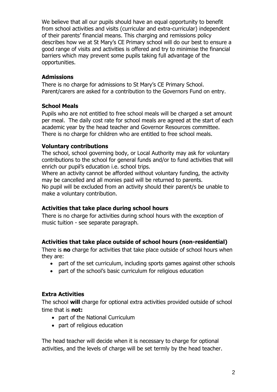We believe that all our pupils should have an equal opportunity to benefit from school activities and visits (curricular and extra-curricular) independent of their parents' financial means. This charging and remissions policy describes how we at St Mary's CE Primary school will do our best to ensure a good range of visits and activities is offered and try to minimise the financial barriers which may prevent some pupils taking full advantage of the opportunities.

## **Admissions**

There is no charge for admissions to St Mary's CE Primary School. Parent/carers are asked for a contribution to the Governors Fund on entry.

## **School Meals**

Pupils who are not entitled to free school meals will be charged a set amount per meal. The daily cost rate for school meals are agreed at the start of each academic year by the head teacher and Governor Resources committee. There is no charge for children who are entitled to free school meals.

#### **Voluntary contributions**

The school, school governing body, or Local Authority may ask for voluntary contributions to the school for general funds and/or to fund activities that will enrich our pupil's education i.e. school trips.

Where an activity cannot be afforded without voluntary funding, the activity may be cancelled and all monies paid will be returned to parents.

No pupil will be excluded from an activity should their parent/s be unable to make a voluntary contribution.

# **Activities that take place during school hours**

There is no charge for activities during school hours with the exception of music tuition - see separate paragraph.

# **Activities that take place outside of school hours (non-residential)**

There is **no** charge for activities that take place outside of school hours when they are:

- part of the set curriculum, including sports games against other schools
- part of the school's basic curriculum for religious education

# **Extra Activities**

The school **will** charge for optional extra activities provided outside of school time that is **not:**

- part of the National Curriculum
- part of religious education

The head teacher will decide when it is necessary to charge for optional activities, and the levels of charge will be set termly by the head teacher.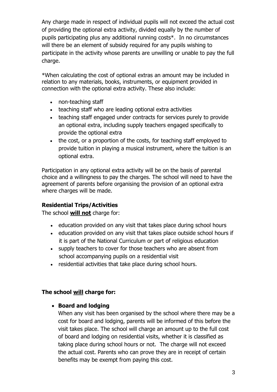Any charge made in respect of individual pupils will not exceed the actual cost of providing the optional extra activity, divided equally by the number of pupils participating plus any additional running costs\*. In no circumstances will there be an element of subsidy required for any pupils wishing to participate in the activity whose parents are unwilling or unable to pay the full charge.

\*When calculating the cost of optional extras an amount may be included in relation to any materials, books, instruments, or equipment provided in connection with the optional extra activity. These also include:

- non-teaching staff
- teaching staff who are leading optional extra activities
- teaching staff engaged under contracts for services purely to provide an optional extra, including supply teachers engaged specifically to provide the optional extra
- the cost, or a proportion of the costs, for teaching staff employed to provide tuition in playing a musical instrument, where the tuition is an optional extra.

Participation in any optional extra activity will be on the basis of parental choice and a willingness to pay the charges. The school will need to have the agreement of parents before organising the provision of an optional extra where charges will be made.

# **Residential Trips/Activities**

The school **will not** charge for:

- education provided on any visit that takes place during school hours
- education provided on any visit that takes place outside school hours if it is part of the National Curriculum or part of religious education
- supply teachers to cover for those teachers who are absent from school accompanying pupils on a residential visit
- residential activities that take place during school hours.

#### **The school will charge for:**

#### **Board and lodging**

When any visit has been organised by the school where there may be a cost for board and lodging, parents will be informed of this before the visit takes place. The school will charge an amount up to the full cost of board and lodging on residential visits, whether it is classified as taking place during school hours or not. The charge will not exceed the actual cost. Parents who can prove they are in receipt of certain benefits may be exempt from paying this cost.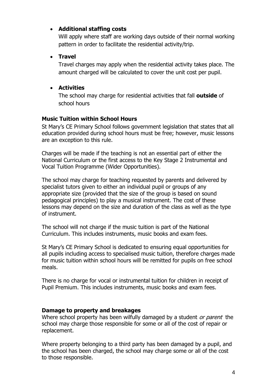# **Additional staffing costs**

Will apply where staff are working days outside of their normal working pattern in order to facilitate the residential activity/trip.

# **Travel**

Travel charges may apply when the residential activity takes place. The amount charged will be calculated to cover the unit cost per pupil.

# **Activities**

The school may charge for residential activities that fall **outside** of school hours

# **Music Tuition within School Hours**

St Mary's CE Primary School follows government legislation that states that all education provided during school hours must be free; however, music lessons are an exception to this rule.

Charges will be made if the teaching is not an essential part of either the National Curriculum or the first access to the Key Stage 2 Instrumental and Vocal Tuition Programme (Wider Opportunities).

The school may charge for teaching requested by parents and delivered by specialist tutors given to either an individual pupil or groups of any appropriate size (provided that the size of the group is based on sound pedagogical principles) to play a musical instrument. The cost of these lessons may depend on the size and duration of the class as well as the type of instrument.

The school will not charge if the music tuition is part of the National Curriculum. This includes instruments, music books and exam fees.

St Mary's CE Primary School is dedicated to ensuring equal opportunities for all pupils including access to specialised music tuition, therefore charges made for music tuition within school hours will be remitted for pupils on free school meals.

There is no charge for vocal or instrumental tuition for children in receipt of Pupil Premium. This includes instruments, music books and exam fees.

#### **Damage to property and breakages**

Where school property has been wilfully damaged by a student or parent the school may charge those responsible for some or all of the cost of repair or replacement.

Where property belonging to a third party has been damaged by a pupil, and the school has been charged, the school may charge some or all of the cost to those responsible.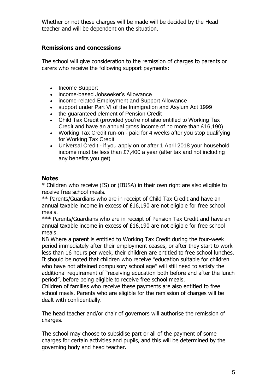Whether or not these charges will be made will be decided by the Head teacher and will be dependent on the situation.

# **Remissions and concessions**

The school will give consideration to the remission of charges to parents or carers who receive the following support payments:

- Income Support
- income-based Jobseeker's Allowance
- income-related Employment and Support Allowance
- support under Part VI of the Immigration and Asylum Act 1999
- the guaranteed element of Pension Credit
- Child Tax Credit (provided you're not also entitled to Working Tax Credit and have an annual gross income of no more than £16,190)
- Working Tax Credit run-on paid for 4 weeks after you stop qualifying for Working Tax Credit
- Universal Credit if you apply on or after 1 April 2018 your household income must be less than £7,400 a year (after tax and not including any benefits you get)

#### **Notes**

\* Children who receive (IS) or (IBJSA) in their own right are also eligible to receive free school meals.

\*\* Parents/Guardians who are in receipt of Child Tax Credit and have an annual taxable income in excess of £16,190 are not eligible for free school meals.

\*\*\* Parents/Guardians who are in receipt of Pension Tax Credit and have an annual taxable income in excess of £16,190 are not eligible for free school meals.

NB Where a parent is entitled to Working Tax Credit during the four-week period immediately after their employment ceases, or after they start to work less than 16 hours per week, their children are entitled to free school lunches. It should be noted that children who receive "education suitable for children who have not attained compulsory school age" will still need to satisfy the additional requirement of "receiving education both before and after the lunch period", before being eligible to receive free school meals.

Children of families who receive these payments are also entitled to free school meals. Parents who are eligible for the remission of charges will be dealt with confidentially.

The head teacher and/or chair of governors will authorise the remission of charges.

The school may choose to subsidise part or all of the payment of some charges for certain activities and pupils, and this will be determined by the governing body and head teacher.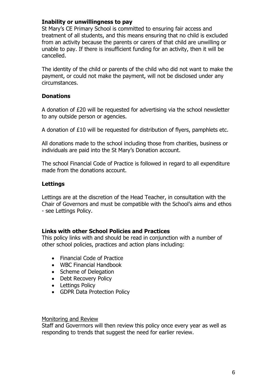#### **Inability or unwillingness to pay**

St Mary's CE Primary School is committed to ensuring fair access and treatment of all students, and this means ensuring that no child is excluded from an activity because the parents or carers of that child are unwilling or unable to pay. If there is insufficient funding for an activity, then it will be cancelled.

The identity of the child or parents of the child who did not want to make the payment, or could not make the payment, will not be disclosed under any circumstances.

#### **Donations**

A donation of £20 will be requested for advertising via the school newsletter to any outside person or agencies.

A donation of £10 will be requested for distribution of flyers, pamphlets etc.

All donations made to the school including those from charities, business or individuals are paid into the St Mary's Donation account.

The school Financial Code of Practice is followed in regard to all expenditure made from the donations account.

#### **Lettings**

Lettings are at the discretion of the Head Teacher, in consultation with the Chair of Governors and must be compatible with the School's aims and ethos - see Lettings Policy.

#### **Links with other School Policies and Practices**

This policy links with and should be read in conjunction with a number of other school policies, practices and action plans including:

- Financial Code of Practice
- WBC Financial Handbook
- Scheme of Delegation
- Debt Recovery Policy
- Lettings Policy
- GDPR Data Protection Policy

#### Monitoring and Review

Staff and Goverrnors will then review this policy once every year as well as responding to trends that suggest the need for earlier review.